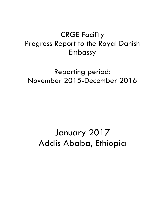# CRGE Facility Progress Report to the Royal Danish Embassy

# Reporting period: November 2015-December 2016

# January 2017 Addis Ababa, Ethiopia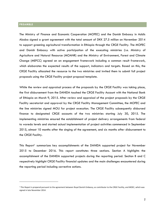#### **PREAMBLE**

 $\overline{a}$ 

The Ministry of Finance and Economic Cooperation (MOFEC) and the Danish Embassy in Addis Ababa signed a grant agreement with the total amount of DKK 27.5 million on November 2014 to support greening agricultural transformation in Ethiopia through the CRGE Facility. The MOFEC and Danish Embassy with active participation of the executing ministries (i.e. Ministry of Agriculture and Natural Resource (MOANR) and the Ministry of Environment, Forest and Climate Change (MEFCC) agreed on an engagement framework including a common result framework, which elaborates the expected results of the support, indicators and targets. Based on this, the CRGE Facility allocated the resource to the two ministries and invited them to submit full project proposals using the CRGE Facility project proposal template.

While the review and appraisal process of the proposals by the CRGE Facility was taking place, the first disbursement from the DANIDA touched the CRGE Facility Account with the National Bank of Ethiopia on March 9, 2015. After review and appraisal of the project proposals by the CRGE Facility secretariat and approval by the CRGE Facility Management Committee, the MOFEC and the line ministries signed MOU for project execution. The CRGE Facility subsequently disbursed finance to designated CRGE accounts of the two ministries starting July 30, 2015. The implementing ministries ensured the establishment of project delivery arrangements from federal to woreda levels and started actual implementation of project activities commenced in September 2015, almost 10 months after the singing of the agreement, and six months after disbursement to the CRGE Facility.

This Report<sup>1</sup> summarizes key accomplishments of the DANIDA supported project for November 2015 to December 2016. This report constitutes three sections. Section A highlights the accomplishment of the DANIDA supported projects during the reporting period. Section B and C respectively highlight CRGE Facility financial updates and the main challenges encountered during the reporting period including corrective actions.

<sup>&</sup>lt;sup>1</sup> This Report is prepared pursuant to the agreement between Royal Danish Embassy, as contributor to the CRGE Facility, and MOEC, which was signed in late November 2014.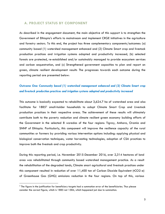#### **A. PROJECT STATUS BY COMPONENT**

As described in the engagement document, the main objective of this support is to strengthen the Government of Ethiopia's efforts to mainstream and implement CRGE initiatives in the agriculture and forestry sectors. To this end, the project has three complementary components/outcomes: (a) community based (1) watershed management enhanced and (2) Climate Smart crop and livestock production practices and irrigation systems adopted and productivity increased, (b) selected forests are protected, re-established and/or sustainably managed to provide ecosystem services and carbon sequestration, and (c) Strengthened government capacities to plan and report on green, climate resilient development results The progresses towards each outcome during the reporting period are presented below:

## *Outcome One: Community based (1) watershed management enhanced and (2) Climate Smart crop and livestock production practices and irrigation systems adopted and productivity increased*

This outcome is basically expected to rehabilitate about 3,624.7 ha of watershed area and also facilitate for 1885<sup>2</sup> small-holder households to adopt Climate Smart Crop and Livestock production practices in their respective areas. The achievement of these results will ultimately contribute both to the poverty reduction and climate resilient green economy building efforts of the Government in the selected 8 woredas of the four regions: Tigray, Amhara, Oromia and SNNP of Ethiopia. Particularly, this component will improve the resilience capacity of the rural communities or farmers by providing various intervention options including: applying physical and biological conservation techniques, water harvesting technologies, adoption of CSA practices to improve both the livestock and crop productivity.

During this reporting period, i.e. November 2015-December 2016, over 2,314 hectares of land area was rehabilitated through community based watershed management practice. As a result the rehabilitation of the degraded lands, Climate smart agricultural and livestock practices under this component resulted in reduction of over 11,400 ton of Carbon Dioxide Equivalent (tCO2-e) of Greenhouse Gas (GHG) emissions reduction in the four regions. On top of this, various

 $\overline{a}$ 

 $^2$  The figure in the justification for beneficiary targets had a summation error of the beneficiaries. Thus please consider the correct figure, which is 1885 not 1584, which happened just due to summation.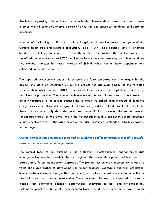livelihood improving interventions for smallholder householders were conducted. These interventions will contribute to create sense of ownership and ensure sustainability of the project outcomes.

In terms of facilitating a shift from traditional agricultural practices towards adoption of the Climate Smart crop and livestock production, 1885 ( 1,471 male headed and 414 female headed households ) households have directly applied this practice. That is, the project has benefited almost equivalent to 9,725 smallholder family members assuming that a household has five members (except for Kucha Woreda of SNNPR, which has a higher population and estimated household size of 7).

The reported achievements under this outcome are faire compared with the targets for the project end date of December 2016. The project has achieved 63.8% of the targeted watersheds rehabilitation and 100% of the smallholder farmers who adapt climate smart crop and livestock productions. The reported achievement of the rehabilitated areas of land seems to be low compared to the target because the targeted watershed area included all land use categories such as cultivated land, grass land, bare land, and forest land, bush land and, etc. All these are not necessarily degraded and need rehabilitation. However, this report covered rehabilitated areas of degraded land in the watersheds through a community based watershed management practices. The achievement of the GHG emission also stands at 13.2% compared to the target.

## *Outcome Two: Selected forests are protected, re-established and/or sustainably managed to provide ecosystem services and carbon sequestration*

The central focus of this outcome is the protection, re-establishment and/or sustainable management of selected forests in the four regions. The key model applied in this context is a participatory forest management approach. The project thus covered interventions related to value chain approaches to developing non-timber products; vegetable and fruit production, honey, herbs and essential oils, coffee and spices, reforestation, eco-tourism, sustainable timber production, and also water conservation. These combined focuses are expected to increase income from alternative economic opportunities (ecosystem services) and environmentally sustainable practices. Under this component/outcome, the different interventions were mainly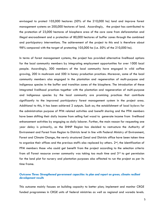envisaged to protect 105,000 hectares (50% of the 210,000 ha) land and improve forest management systems on 200,000 hectares of land. Accordingly, the project has contributed to the protection of 23,000 hectares of biosphere area of the core zone from deforestation and illegal encroachment and a protection of 80,000 hectares of buffer zones through the combined and participatory interventions. The achievement of the project to this end is therefore about 98% compared with the target of protecting 105,000 ha (i.e. 50% of the 210,000 ha).

In terms of forest management systems, the project has provided alternative livelihood options for the local community members by integrating employment opportunities for over 1000 local people. Accordingly, 300 members of the local community have engaged in wild coffee growing, 200 in mushroom and 500 in honey production practices. Moreover, some of the local community members also engaged in the plantation and regeneration of multi-purpose and indigenous species in the buffer and transition zones of the biosphere. The introduction of these integrated livelihood practices together with the plantation and regeneration of multi-purpose and indigenous species by the local community are promising practices that contribute significantly to the improved participatory forest management system in the project area. Additional to this, it has been achieved 2 outputs. Such as; the establishment of local bylaws for the administration purpose of PFM related activities and benefit sharing and the PFM members have been shifting their daily income from selling fuel wood to generate income from livelihood enhancement activities by engaging as daily laborer. Further, the main reason for requesting one year delay is primarily, as the SNNP Region has decided to restructure the Authority of Environment and Forest from Region to Districts level in line with Federal Ministry of Environment, Forest and Climate Change, the newly structured Zonal and Districts office have been taken time to organize their offices and the previous staffs also replaced by others.  $2<sup>nd</sup>$ , the identification of PFM members those who could get benefit from the project according to the selection criteria from all Forest resource owner community was taking too much time and  $3<sup>rd</sup>$  to get permission for the land plot for nursery and plantation purposes also affected to run the project as per its time frame.

#### *Outcome Three: Strengthened government capacities to plan and report on green, climate resilient development results*

This outcome mainly focuses on building capacity to better plan; implement and monitor CRGE funded programmes in CRGE units of federal ministries as well as regional and woreda levels.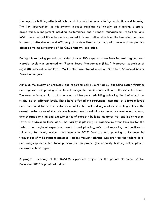The capacity building efforts will also work towards better monitoring, evaluation and learning. The key interventions in this context include: trainings particularly on planning, proposal preparation, management including performance and financial management, reporting, and M&E. The effects of this outcome is expected to have positive effects on the two other outcomes in terms of effectiveness and efficiency of funds utilization, but may also have a direct positive effect on the mainstreaming of the CRGE Facility's operation.

During this reporting period, capacities of over 200 experts drawn from federal, regional and woreda levels was enhanced on "Results Based Management (RBM)". Moreover, capacities of eight (8) selected senior levels MoFEC staff are strengthened on "Certified Advanced Senior Project Managers."

Although the quality of proposals and reporting being submitted by executing sector ministries and regions are improving after these trainings, the qualities are still not to the expected levels. The reasons include high staff turnover and frequent reshuffling following the institutional restructuring at different levels. These have affected the institutional memories at different levels and contributed to the low performance of the federal and regional implementing entities. The overall performance of this outcome is rated low. In addition to the above mentioned reasons, time shortage to plan and execute series of capacity building measures was one major reason. Towards addressing these gaps, the Facility is planning to organize relevant trainings for the federal and regional experts on results based planning, M&E and reporting and continue to follow up for timely actions subsequently in 2017. We are also planning to increase the frequencies of M&E missions across all regions through technical supports from the federal level and assigning dedicated focal persons for this project (the capacity building action plan is annexed with this report).

A progress summary of the DANIDA supported project for the period November 2015- December 2016 is provided below: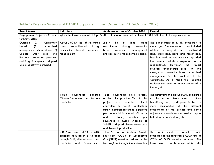| <b>Result Areas</b>                                                                                                                            | <b>Indicators</b><br>Achievements as of October 2016 |                                        |                                             |  |  |
|------------------------------------------------------------------------------------------------------------------------------------------------|------------------------------------------------------|----------------------------------------|---------------------------------------------|--|--|
| Engagement Objective 2: To strengthen the Government of Ethiopia's efforts to mainstream and implement CRGE initiatives in the agriculture and |                                                      |                                        |                                             |  |  |
| forestry sectors                                                                                                                               |                                                      |                                        |                                             |  |  |
| 2.1:<br>Outcome<br>Community                                                                                                                   | About 3,624.7 ha of watershed                        | 2,314<br>of<br>land<br>ha<br>areas     | The achievement is 63.8% compared to        |  |  |
| (1)<br>watershed<br>based                                                                                                                      | rehabilitated<br>through<br>areas                    | rehabilitated<br>through<br>community  | the target. The watershed area included     |  |  |
| management enhanced and (2)                                                                                                                    | watershed<br>community<br>based                      | based<br>watershed<br>management       | all land use categories such as cultivated  |  |  |
| Smart crop<br>Climate<br>and                                                                                                                   | management                                           | practice during the reporting period.  | land, grass land, bare land, forest land,   |  |  |
| livestock production practices                                                                                                                 |                                                      |                                        | bush land and, etc and not only degraded    |  |  |
| and irrigation systems adopted                                                                                                                 |                                                      |                                        | which is expected to be<br>land areas       |  |  |
| and productivity increased                                                                                                                     |                                                      |                                        | rehabilitated.<br>However,<br>the<br>report |  |  |
|                                                                                                                                                |                                                      |                                        | covered rehabilitated areas of land         |  |  |
|                                                                                                                                                |                                                      |                                        | through a community based watershed         |  |  |
|                                                                                                                                                |                                                      |                                        | management in the context<br>of<br>the      |  |  |
|                                                                                                                                                |                                                      |                                        | watersheds. As a result the reported        |  |  |
|                                                                                                                                                |                                                      |                                        | achievement seems to be low compared to     |  |  |
|                                                                                                                                                |                                                      |                                        | the target.                                 |  |  |
|                                                                                                                                                |                                                      |                                        |                                             |  |  |
|                                                                                                                                                | 1,885<br>households<br>adopted                       | 1885<br>households<br>have<br>directly | The achievement is about 100% compared      |  |  |
|                                                                                                                                                | Climate Smart crop and livestock                     | applied this practice. That is, the    | to the target. Note that a given            |  |  |
|                                                                                                                                                | production                                           | benefited<br>almost<br>project<br>has  | beneficiary may participate in two or       |  |  |
|                                                                                                                                                |                                                      | equivalent to 9,725 smallholder        | commodities of the<br>different<br>more     |  |  |
|                                                                                                                                                |                                                      | family members (assuming 5 persons     | components of the project and hence         |  |  |
|                                                                                                                                                |                                                      | per household in the all Woredas       | adjustment is made on the previous report   |  |  |
|                                                                                                                                                |                                                      | family<br>members<br>and<br>7<br>per   | following the revised targets.              |  |  |
|                                                                                                                                                |                                                      | in Kucha Woreda of<br>household        |                                             |  |  |
|                                                                                                                                                |                                                      | SNNPR) adopted climate smart crop      |                                             |  |  |
|                                                                                                                                                |                                                      | and livestock production.              |                                             |  |  |
|                                                                                                                                                | 0.087 Mt tonnes of CO2e GHG                          | 11,457.0 ton of Carbon Dioxide         | 13.2%<br>achievement<br>The<br>is<br>about  |  |  |
|                                                                                                                                                | emissions reduced in 8 woredas                       | Equivalent (tCO2-e) of Greenhouse      | compared to the targeted 87,000 tons of     |  |  |
|                                                                                                                                                | through SLM, climate smart crop                      | Gas (GHG) emissions reduced in the     | CO2e of GHG emission reduction. The         |  |  |
|                                                                                                                                                | production and climate smart                         | four regions through the sustainable   | lower level of achievement relates with     |  |  |

# **Table 1-** Progress Summary of DANIDA Supported Project (November 2015-October 2016)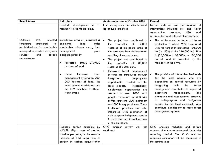| <b>Result Areas</b>                                                                                          | <b>Indicators</b>                                                                                                                                                                | Achievements as of October 2016                                                                                                                                                                                                                                                                                                                                                                                                                                                                | Remark                                                                                                                                                                                                                                                                                                                                                                                                               |
|--------------------------------------------------------------------------------------------------------------|----------------------------------------------------------------------------------------------------------------------------------------------------------------------------------|------------------------------------------------------------------------------------------------------------------------------------------------------------------------------------------------------------------------------------------------------------------------------------------------------------------------------------------------------------------------------------------------------------------------------------------------------------------------------------------------|----------------------------------------------------------------------------------------------------------------------------------------------------------------------------------------------------------------------------------------------------------------------------------------------------------------------------------------------------------------------------------------------------------------------|
| 2.2:<br>Selected<br>Outcome<br>protected,<br>forestsare<br>re-                                               | livestock development<br>18<br>in<br>months vis-a-vis the baseline.<br>Cumulative area of (individual &<br>communal)<br>land<br>under                                            | land management and climate smart<br>agricultural practices.<br>$\bullet$<br>The project has contributed to<br>of<br>12,000<br>the<br>protection                                                                                                                                                                                                                                                                                                                                               | performance of<br>factors such as low<br>interventions including soil and water<br><b>NRM</b><br>conservation<br>practices,<br>and<br>afforestation and reforestation practices.<br>The achievement in terms of forest<br>$\bullet$<br>protection is about 98% compared                                                                                                                                              |
| established and/or sustainably<br>managed to provide ecosystem<br>services<br>and<br>carbon<br>sequestration | sustainable, climate smart, land<br>management<br>plans<br>disaggregated by:<br>Protected (50%);<br>210,000<br>hectares of land                                                  | hectares of biosphere area of<br>the core zone from deforestation<br>and illegal encroachment;<br>The project has contributed to<br>protection<br>80,000<br>of<br>the<br>hectares of buffer zone                                                                                                                                                                                                                                                                                               | with the target of protecting 105,000<br>ha (i.e. 50% of the 210,000 ha). That<br>is, $(23,000$ ha + 80,000ha = 103,000<br>ha of land is protected by the<br>members of the PFM).                                                                                                                                                                                                                                    |
|                                                                                                              | forest<br>Under<br>improved<br>$\bullet$<br>management systems on 200,<br>000 hectares of land. The<br>local bylaws established and<br>the PFM members livelihood<br>transformed | Improved forest management<br>systems are introduced through<br>integrated<br>employment<br>opportunities created for the<br>local people.<br>Accordingly,<br>employment opportunities are<br>created for over 1000 local<br>people. These are for 300 wild<br>coffee growers, 200 mushroom<br>and 500 honey producers. These<br>livelihood practices are also<br>integrated with plantation of<br>multi-purpose indigenous species<br>in the buffer and transition zones<br>of the biosphere. | The provision of alternative livelihoods<br>for the local people who are<br>depending on natural resources by<br>with<br>the<br>integrating<br>forest<br>management contributes to improved<br>ecosystem<br>management.<br>The<br>plantation and regeneration practices<br>of multi-purpose and indigenous<br>species by the local community also<br>contribute significantly to these forest<br>management systems. |
|                                                                                                              | Reduced carbon emissions by<br>413.58 Giga tone of carbon<br>dioxide per year/or the relative<br>increase of 113 Giga tone of<br>carbon in carbon sequestration                  | GHG emission survey was<br>not<br>conducted                                                                                                                                                                                                                                                                                                                                                                                                                                                    | GHG emission reduction and carbon<br>sequestration was not estimated during the<br>reporting period. The GHG emission<br>reduction estimation will be conducted in<br>the coming year                                                                                                                                                                                                                                |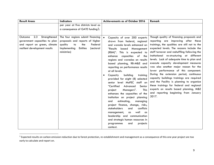| <b>Result Areas</b>                                                                                                              | <b>Indicators</b>                                                                                                                                                                                                                                   | <b>Achievements as of October 2016</b>                                                                                                                                                                                                                                                                                                                                                                                                    | Remark                                                                                                                                                                                                                                                                                                                                                                                                                                                                                                                                    |
|----------------------------------------------------------------------------------------------------------------------------------|-----------------------------------------------------------------------------------------------------------------------------------------------------------------------------------------------------------------------------------------------------|-------------------------------------------------------------------------------------------------------------------------------------------------------------------------------------------------------------------------------------------------------------------------------------------------------------------------------------------------------------------------------------------------------------------------------------------|-------------------------------------------------------------------------------------------------------------------------------------------------------------------------------------------------------------------------------------------------------------------------------------------------------------------------------------------------------------------------------------------------------------------------------------------------------------------------------------------------------------------------------------------|
| 2.3<br>Strengthened<br>Outcome<br>government capacities to plan<br>and report on green, climate<br>resilient development results | per year at five districts level as<br>a consequence of GATE funding $3.$<br>The four regions submit financing<br>proposals and reports of higher<br>quality<br>Federal<br>the<br>to<br>Implementing<br><b>Entities</b><br>(sectoral<br>ministries) | $\bullet$<br>Capacity of over 200 experts<br>drawn from federal, regional<br>and woreda levels enhanced on<br>"Results<br>based<br>Management<br>(RBM)". This is expected to<br>capacities of the<br>enhance<br>regions and woredas on results<br>based planning, RB-M&E and<br>reporting on performance results<br>at all levels.<br>building<br>Capacity<br>training<br>provided for eight (8) selected                                 | Though quality of financing proposals and<br>reporting are improving after these<br>trainings, the qualities are still not to the<br>expected levels. The reasons include the<br>staff turnover and reshuffling following the<br>institutional re-structuring at different<br>levels. Lack of adequate time to plan and<br>execute capacity development measures<br>was also another major reason for the<br>lower performance of this component.<br>During the extension period, continuous<br>capacity buildings trainings are required |
|                                                                                                                                  |                                                                                                                                                                                                                                                     | senior level MoFEC staff on<br>"Certified<br>Advanced<br>Senior<br>Managers".<br><b>This</b><br>project<br>enhances the capacities of the<br>institution on project planning<br>estimating,<br>and<br>managing<br>project finance, change, risks,<br>stakeholders<br>conflicts<br>and<br>well<br>management,<br>as<br>as<br>leadership and communication<br>and strategic human resources in<br>programmes<br>projects<br>and<br>context. | and the Facility is planning to organize<br>these trainings for federal and regional<br>experts on results based planning, M&E<br>and reporting beginning from January<br>2017.                                                                                                                                                                                                                                                                                                                                                           |

 $3$  Expected results on carbon emission reduction due to forest protection, re-establishment and management as a consequence of this one year project are too early to calculate and report on.

 $\overline{a}$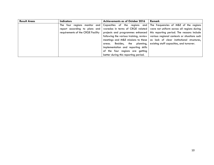| <b>Result Areas</b> | <b>Indicators</b>                 | <b>Achievements as of October 2016</b> | Remark                                                                                                    |
|---------------------|-----------------------------------|----------------------------------------|-----------------------------------------------------------------------------------------------------------|
|                     | The                               |                                        | four regions monitor and Capacities of the regions and The frequencies of M&E of the regions              |
|                     |                                   |                                        | report according to plans and woredas in terms of CRGE related were not uniform across all regions during |
|                     | requirements of the CRGE Facility |                                        | projects and programmes enhanced   this reporting period. The reasons include                             |
|                     |                                   |                                        | following the various training, review   various regional contexts or situations such                     |
|                     |                                   |                                        | meetings and M&E missions to these $\vert$ as lack of clear institutional structures,                     |
|                     |                                   | Besides, the planning,<br>areas.       | existing staff capacities, and turnover.                                                                  |
|                     |                                   | implementation and reporting skills    |                                                                                                           |
|                     |                                   | of the four regions are getting        |                                                                                                           |
|                     |                                   | better during this reporting period.   |                                                                                                           |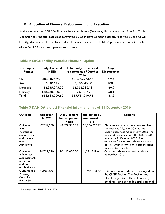## **B. Allocation of Finance, Disbursement and Execution**

At the moment, the CRGE Facility has four contributors (Denmark, UK, Norway and Austria). Table 2 summarizes financial resources committed by each development partners, received by the CRGE Facility, disbursement to sectors and settlements of expenses. Table 3 presents the financial status of the DANIDA supported project separately.

|  |  |  |  |  | <b>Table 2 CRGE Facility Portfolio Financial Update</b> |  |
|--|--|--|--|--|---------------------------------------------------------|--|
|--|--|--|--|--|---------------------------------------------------------|--|

| <b>Development</b><br><b>Partner</b> | <b>Budget secured</b><br>in ETB | <b>Total budget Disbursed</b><br>to sectors as of October<br>2016 | $%$ age<br><b>Disbursement</b> |
|--------------------------------------|---------------------------------|-------------------------------------------------------------------|--------------------------------|
| UK                                   | 404,202569.38                   | 401,976,973.56                                                    | 99.4                           |
| Austria                              | 15,185645.00                    | 15,185645.00                                                      | 100.0                          |
| Denmark                              | 84,355,095.22                   | 58,955,232.18                                                     | 69.9                           |
| Norway                               | 158,940,000.00                  | 79,633,169                                                        | 50.1                           |
| Total                                | 662,683,309.60                  | 555,751,019.74                                                    | 83.9                           |

# **Table 3 DANIDA project Financial Information as of 31 December 2016**

| Outcome                                                                                | <b>Allocation</b>   | <b>Disbursement</b> | <b>Utilization by</b> | Remarks                                                                                                                                                                                                                                                                                                              |
|----------------------------------------------------------------------------------------|---------------------|---------------------|-----------------------|----------------------------------------------------------------------------------------------------------------------------------------------------------------------------------------------------------------------------------------------------------------------------------------------------------------------|
|                                                                                        | in ETB <sup>4</sup> | by component        | component in          |                                                                                                                                                                                                                                                                                                                      |
|                                                                                        |                     | in ETB              | <b>ETB</b>            |                                                                                                                                                                                                                                                                                                                      |
| Outcome<br>2.1:<br>Watershed<br>management<br>and climate<br>smart<br>Agriculture      | 49,759,580          | 48,377,360.05       | 28,236,825.73         | Disbursement was made in two tranches.<br>The first was 29,540,000 ETB. This<br>disbursement was made in July 2015. The<br>second disbursement of ETB 18,837,360<br>was made in October 2016. The<br>settlement for the first disbursement was<br>65.1%, which is sufficient to effect second<br>round disbursement. |
| <b>Outcome</b><br>2.2: Forest<br>Management,<br>protection<br>and re-<br>establishment | 24,721,320          | 10,420,000.00       | 4,371,329.66          | Only one disbursement was made on<br>September 2015                                                                                                                                                                                                                                                                  |
| Outcome 2.3<br>Planning<br>Capacity of<br>the CRGE                                     | 9,508,200           |                     | 1,222,013.68          | This component is directly managed by<br>the CRGE Facility. The Facility had<br>plan to organize different capacity<br>building trainings for federal, regional                                                                                                                                                      |

<sup>4</sup> Exchange rate: 1DKK=3.1694 ETB

 $\overline{a}$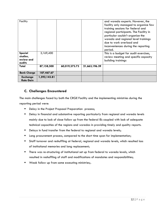| Facility<br>Special                 | 3,169,400    |               |               | and woreda experts. However, the<br>facility only managed to organize few<br>training sessions for federal and<br>regional participants. The Facility in<br>particular couldn't organize the<br>woreda and regional level trainings<br>due to work overload and<br>inconveniences during the reporting<br>period.<br>This is a budget for audit exercises, |
|-------------------------------------|--------------|---------------|---------------|------------------------------------------------------------------------------------------------------------------------------------------------------------------------------------------------------------------------------------------------------------------------------------------------------------------------------------------------------------|
| studies,<br>review and<br>audits    |              |               |               | review meeting and specific capacity<br>building trainings                                                                                                                                                                                                                                                                                                 |
| Total                               | 87,158,500   | 60,019,373.73 | 21,663,196.39 |                                                                                                                                                                                                                                                                                                                                                            |
| <b>Bank Charge</b>                  | 187,467.67   |               |               |                                                                                                                                                                                                                                                                                                                                                            |
| <b>Exchange</b><br><b>Rate Gain</b> | 1,592,143.81 |               |               |                                                                                                                                                                                                                                                                                                                                                            |

# **C. Challenges Encountered**

The main challenges faced by both the CRGE Facility and the implementing ministries during the reporting period were:

- Delay in the Project Proposal Preparation process;
- Delay in financial and substantive reporting particularly from regional and woreda levels mainly due to lack of close follow up from the federal IEs coupled with lack of adequate technical capacities of the regions and woredas in providing timely and quality reports.
- Delays in fund transfer from the federal to regional and woreda levels;
- **E** Long procurement process, compared to the short time span for implementation;
- Staff turnover and reshuffling at federal, regional and woreda levels, which resulted loss of institutional memories and long replacement;
- **■** There was re-structuring of institutional set up from federal to woreda levels, which resulted in reshuffling of staff and modifications of mandates and responsibilities;
- Weak follow up from some executing ministries;.